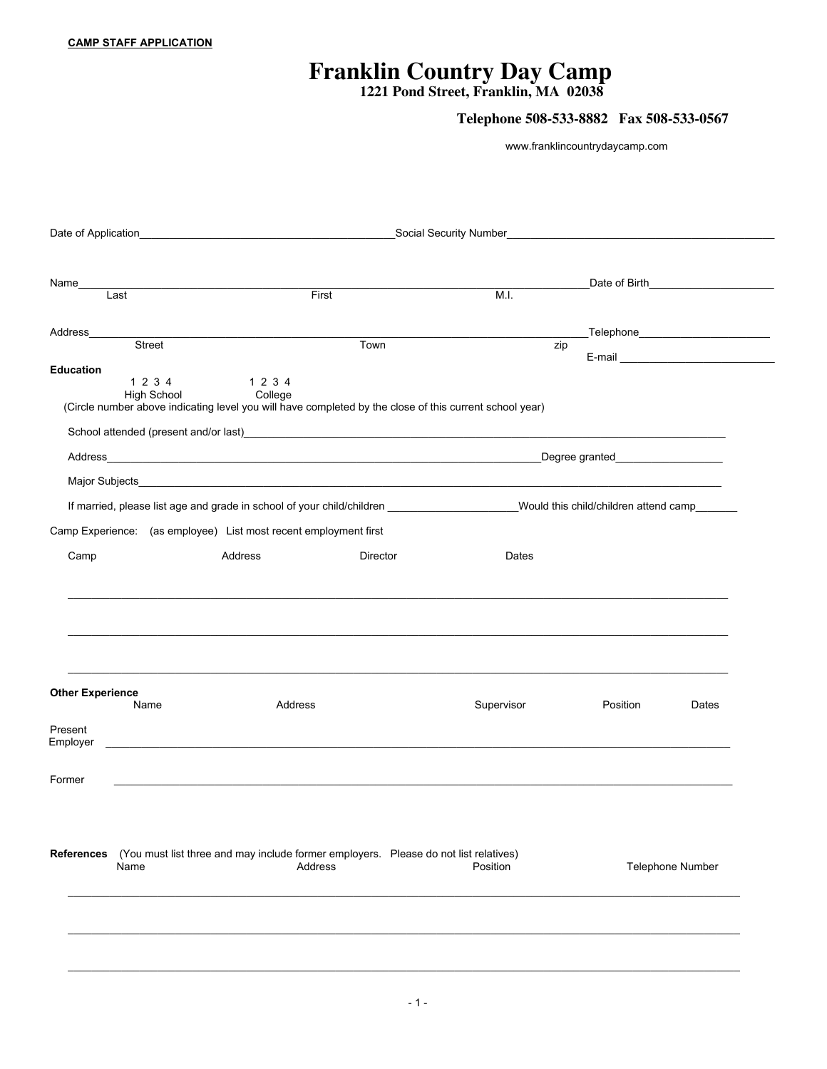## **Franklin Country Day Camp**

**1221 Pond Street, Franklin, MA 02038**

## **Telephone 508-533-8882 Fax 508-533-0567**

www.franklincountrydaycamp.com

|                                            |                                                                                                                       |          | Social Security Number and the state of the state of the state of the state of the state of the state of the state of the state of the state of the state of the state of the state of the state of the state of the state of |                                                                                                                                                                                                                                |                  |
|--------------------------------------------|-----------------------------------------------------------------------------------------------------------------------|----------|-------------------------------------------------------------------------------------------------------------------------------------------------------------------------------------------------------------------------------|--------------------------------------------------------------------------------------------------------------------------------------------------------------------------------------------------------------------------------|------------------|
|                                            |                                                                                                                       |          |                                                                                                                                                                                                                               | Date of Birth <b>Communist Communist Property</b>                                                                                                                                                                              |                  |
| Name<br>Last                               | First                                                                                                                 |          | M.I.                                                                                                                                                                                                                          |                                                                                                                                                                                                                                |                  |
|                                            |                                                                                                                       |          |                                                                                                                                                                                                                               |                                                                                                                                                                                                                                |                  |
| Street                                     |                                                                                                                       | Town     | zip                                                                                                                                                                                                                           | _Telephone________________________                                                                                                                                                                                             |                  |
| <b>Education</b>                           |                                                                                                                       |          |                                                                                                                                                                                                                               | E-mail experience and the contract of the state of the state of the state of the state of the state of the state of the state of the state of the state of the state of the state of the state of the state of the state of th |                  |
| 1 2 3 4<br><b>High School</b>              | 1 2 3 4<br>College                                                                                                    |          |                                                                                                                                                                                                                               |                                                                                                                                                                                                                                |                  |
|                                            | (Circle number above indicating level you will have completed by the close of this current school year)               |          |                                                                                                                                                                                                                               |                                                                                                                                                                                                                                |                  |
|                                            |                                                                                                                       |          |                                                                                                                                                                                                                               |                                                                                                                                                                                                                                |                  |
|                                            |                                                                                                                       |          |                                                                                                                                                                                                                               |                                                                                                                                                                                                                                |                  |
|                                            |                                                                                                                       |          |                                                                                                                                                                                                                               |                                                                                                                                                                                                                                |                  |
|                                            |                                                                                                                       |          |                                                                                                                                                                                                                               |                                                                                                                                                                                                                                |                  |
|                                            | Camp Experience: (as employee) List most recent employment first                                                      |          |                                                                                                                                                                                                                               |                                                                                                                                                                                                                                |                  |
|                                            |                                                                                                                       |          | Dates                                                                                                                                                                                                                         |                                                                                                                                                                                                                                |                  |
| Camp                                       | Address                                                                                                               | Director |                                                                                                                                                                                                                               |                                                                                                                                                                                                                                |                  |
|                                            |                                                                                                                       |          |                                                                                                                                                                                                                               |                                                                                                                                                                                                                                |                  |
| <b>Other Experience</b><br>Name<br>Present | Address                                                                                                               |          | Supervisor                                                                                                                                                                                                                    | Position                                                                                                                                                                                                                       | Dates            |
|                                            |                                                                                                                       |          |                                                                                                                                                                                                                               |                                                                                                                                                                                                                                |                  |
|                                            | <u> 1989 - Johann Harry Harry Harry Harry Harry Harry Harry Harry Harry Harry Harry Harry Harry Harry Harry Harry</u> |          |                                                                                                                                                                                                                               |                                                                                                                                                                                                                                |                  |
|                                            |                                                                                                                       |          |                                                                                                                                                                                                                               |                                                                                                                                                                                                                                |                  |
|                                            |                                                                                                                       |          |                                                                                                                                                                                                                               |                                                                                                                                                                                                                                |                  |
| Name                                       | (You must list three and may include former employers. Please do not list relatives)<br>Address                       |          | Position                                                                                                                                                                                                                      |                                                                                                                                                                                                                                | Telephone Number |
|                                            |                                                                                                                       |          |                                                                                                                                                                                                                               |                                                                                                                                                                                                                                |                  |
| Former<br>References                       |                                                                                                                       |          |                                                                                                                                                                                                                               |                                                                                                                                                                                                                                |                  |